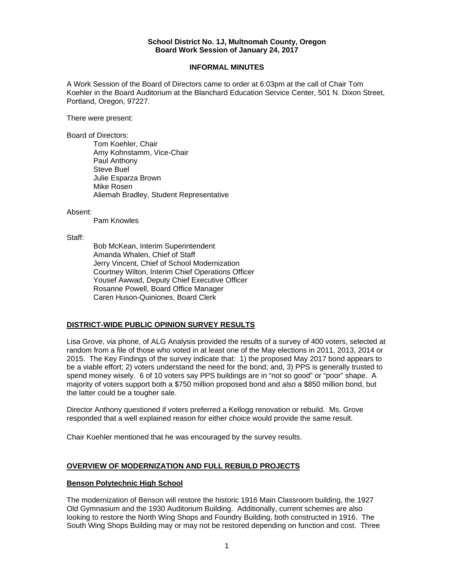#### **School District No. 1J, Multnomah County, Oregon Board Work Session of January 24, 2017**

#### **INFORMAL MINUTES**

A Work Session of the Board of Directors came to order at 6:03pm at the call of Chair Tom Koehler in the Board Auditorium at the Blanchard Education Service Center, 501 N. Dixon Street, Portland, Oregon, 97227.

There were present:

Board of Directors:

Tom Koehler, Chair Amy Kohnstamm, Vice-Chair Paul Anthony Steve Buel Julie Esparza Brown Mike Rosen Aliemah Bradley, Student Representative

#### Absent:

Pam Knowles

Staff:

 Bob McKean, Interim Superintendent Amanda Whalen, Chief of Staff Jerry Vincent, Chief of School Modernization Courtney Wilton, Interim Chief Operations Officer Yousef Awwad, Deputy Chief Executive Officer Rosanne Powell, Board Office Manager Caren Huson-Quiniones, Board Clerk

### **DISTRICT-WIDE PUBLIC OPINION SURVEY RESULTS**

Lisa Grove, via phone, of ALG Analysis provided the results of a survey of 400 voters, selected at random from a file of those who voted in at least one of the May elections in 2011, 2013, 2014 or 2015. The Key Findings of the survey indicate that: 1) the proposed May 2017 bond appears to be a viable effort; 2) voters understand the need for the bond; and, 3) PPS is generally trusted to spend money wisely. 6 of 10 voters say PPS buildings are in "not so good" or "poor" shape. A majority of voters support both a \$750 million proposed bond and also a \$850 million bond, but the latter could be a tougher sale.

Director Anthony questioned if voters preferred a Kellogg renovation or rebuild. Ms. Grove responded that a well explained reason for either choice would provide the same result.

Chair Koehler mentioned that he was encouraged by the survey results.

### **OVERVIEW OF MODERNIZATION AND FULL REBUILD PROJECTS**

### **Benson Polytechnic High School**

The modernization of Benson will restore the historic 1916 Main Classroom building, the 1927 Old Gymnasium and the 1930 Auditorium Building. Additionally, current schemes are also looking to restore the North Wing Shops and Foundry Building, both constructed in 1916. The South Wing Shops Building may or may not be restored depending on function and cost. Three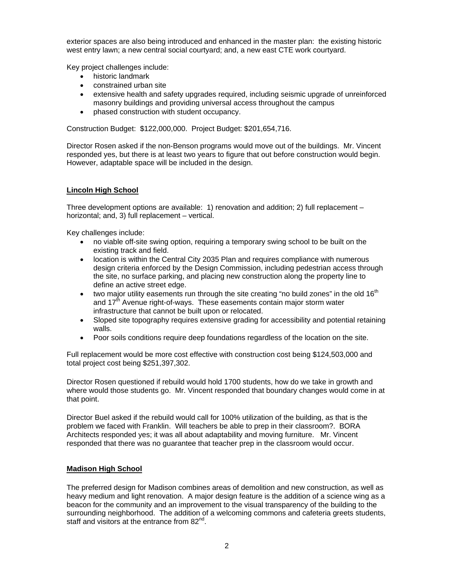exterior spaces are also being introduced and enhanced in the master plan: the existing historic west entry lawn; a new central social courtyard; and, a new east CTE work courtyard.

Key project challenges include:

- historic landmark
- constrained urban site
- extensive health and safety upgrades required, including seismic upgrade of unreinforced masonry buildings and providing universal access throughout the campus
- phased construction with student occupancy.

Construction Budget: \$122,000,000. Project Budget: \$201,654,716.

Director Rosen asked if the non-Benson programs would move out of the buildings. Mr. Vincent responded yes, but there is at least two years to figure that out before construction would begin. However, adaptable space will be included in the design.

## **Lincoln High School**

Three development options are available: 1) renovation and addition; 2) full replacement – horizontal; and, 3) full replacement – vertical.

Key challenges include:

- no viable off-site swing option, requiring a temporary swing school to be built on the existing track and field.
- location is within the Central City 2035 Plan and requires compliance with numerous design criteria enforced by the Design Commission, including pedestrian access through the site, no surface parking, and placing new construction along the property line to define an active street edge.
- two major utility easements run through the site creating "no build zones" in the old  $16<sup>th</sup>$ and  $17<sup>th</sup>$  Avenue right-of-ways. These easements contain major storm water infrastructure that cannot be built upon or relocated.
- Sloped site topography requires extensive grading for accessibility and potential retaining walls.
- Poor soils conditions require deep foundations regardless of the location on the site.

Full replacement would be more cost effective with construction cost being \$124,503,000 and total project cost being \$251,397,302.

Director Rosen questioned if rebuild would hold 1700 students, how do we take in growth and where would those students go. Mr. Vincent responded that boundary changes would come in at that point.

Director Buel asked if the rebuild would call for 100% utilization of the building, as that is the problem we faced with Franklin. Will teachers be able to prep in their classroom?. BORA Architects responded yes; it was all about adaptability and moving furniture. Mr. Vincent responded that there was no guarantee that teacher prep in the classroom would occur.

### **Madison High School**

The preferred design for Madison combines areas of demolition and new construction, as well as heavy medium and light renovation. A major design feature is the addition of a science wing as a beacon for the community and an improvement to the visual transparency of the building to the surrounding neighborhood. The addition of a welcoming commons and cafeteria greets students, staff and visitors at the entrance from 82<sup>nd</sup>.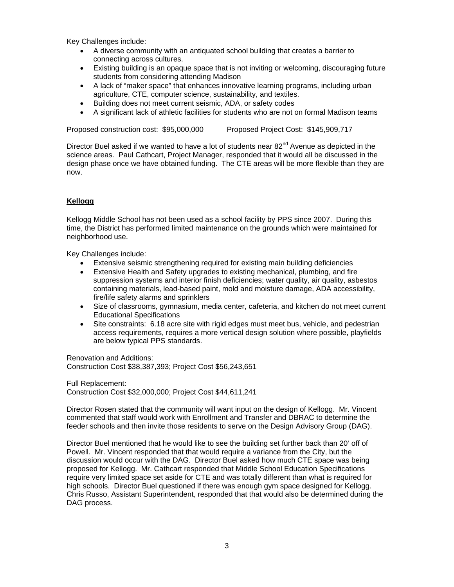Key Challenges include:

- A diverse community with an antiquated school building that creates a barrier to connecting across cultures.
- Existing building is an opaque space that is not inviting or welcoming, discouraging future students from considering attending Madison
- A lack of "maker space" that enhances innovative learning programs, including urban agriculture, CTE, computer science, sustainability, and textiles.
- Building does not meet current seismic, ADA, or safety codes
- A significant lack of athletic facilities for students who are not on formal Madison teams

Proposed construction cost: \$95,000,000 Proposed Project Cost: \$145,909,717

Director Buel asked if we wanted to have a lot of students near  $82<sup>nd</sup>$  Avenue as depicted in the science areas. Paul Cathcart, Project Manager, responded that it would all be discussed in the design phase once we have obtained funding. The CTE areas will be more flexible than they are now.

# **Kellogg**

Kellogg Middle School has not been used as a school facility by PPS since 2007. During this time, the District has performed limited maintenance on the grounds which were maintained for neighborhood use.

Key Challenges include:

- Extensive seismic strengthening required for existing main building deficiencies
- Extensive Health and Safety upgrades to existing mechanical, plumbing, and fire suppression systems and interior finish deficiencies; water quality, air quality, asbestos containing materials, lead-based paint, mold and moisture damage, ADA accessibility, fire/life safety alarms and sprinklers
- Size of classrooms, gymnasium, media center, cafeteria, and kitchen do not meet current Educational Specifications
- Site constraints: 6.18 acre site with rigid edges must meet bus, vehicle, and pedestrian access requirements, requires a more vertical design solution where possible, playfields are below typical PPS standards.

Renovation and Additions: Construction Cost \$38,387,393; Project Cost \$56,243,651

Full Replacement: Construction Cost \$32,000,000; Project Cost \$44,611,241

Director Rosen stated that the community will want input on the design of Kellogg. Mr. Vincent commented that staff would work with Enrollment and Transfer and DBRAC to determine the feeder schools and then invite those residents to serve on the Design Advisory Group (DAG).

Director Buel mentioned that he would like to see the building set further back than 20' off of Powell. Mr. Vincent responded that that would require a variance from the City, but the discussion would occur with the DAG. Director Buel asked how much CTE space was being proposed for Kellogg. Mr. Cathcart responded that Middle School Education Specifications require very limited space set aside for CTE and was totally different than what is required for high schools. Director Buel questioned if there was enough gym space designed for Kellogg. Chris Russo, Assistant Superintendent, responded that that would also be determined during the DAG process.